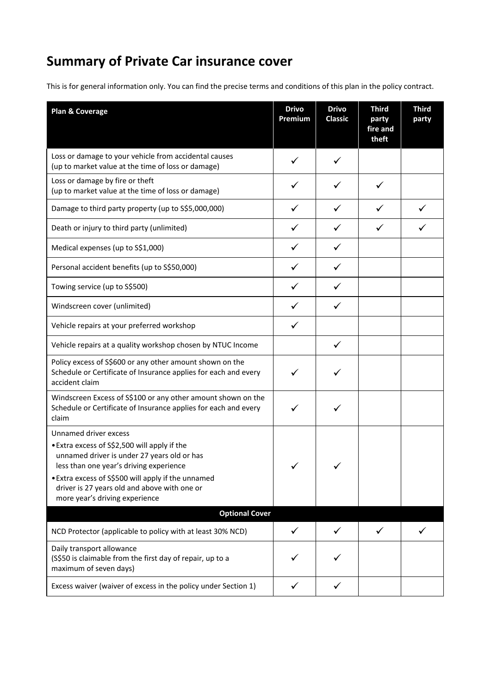# **Summary of Private Car insurance cover**

This is for general information only. You can find the precise terms and conditions of this plan in the policy contract.

| Plan & Coverage                                                                                                                                                                                                                                                                                         | <b>Drivo</b><br>Premium | <b>Drivo</b><br><b>Classic</b> | <b>Third</b><br>party<br>fire and<br>theft | <b>Third</b><br>party |
|---------------------------------------------------------------------------------------------------------------------------------------------------------------------------------------------------------------------------------------------------------------------------------------------------------|-------------------------|--------------------------------|--------------------------------------------|-----------------------|
| Loss or damage to your vehicle from accidental causes<br>(up to market value at the time of loss or damage)                                                                                                                                                                                             | ✓                       | ✓                              |                                            |                       |
| Loss or damage by fire or theft<br>(up to market value at the time of loss or damage)                                                                                                                                                                                                                   | ✓                       |                                |                                            |                       |
| Damage to third party property (up to S\$5,000,000)                                                                                                                                                                                                                                                     | ✓                       | ✓                              | ✓                                          |                       |
| Death or injury to third party (unlimited)                                                                                                                                                                                                                                                              | ✓                       | ✓                              | ✓                                          |                       |
| Medical expenses (up to S\$1,000)                                                                                                                                                                                                                                                                       | $\checkmark$            | ✓                              |                                            |                       |
| Personal accident benefits (up to S\$50,000)                                                                                                                                                                                                                                                            | ✓                       | ✓                              |                                            |                       |
| Towing service (up to S\$500)                                                                                                                                                                                                                                                                           | $\checkmark$            | ✓                              |                                            |                       |
| Windscreen cover (unlimited)                                                                                                                                                                                                                                                                            | $\checkmark$            | ✓                              |                                            |                       |
| Vehicle repairs at your preferred workshop                                                                                                                                                                                                                                                              | $\checkmark$            |                                |                                            |                       |
| Vehicle repairs at a quality workshop chosen by NTUC Income                                                                                                                                                                                                                                             |                         | $\checkmark$                   |                                            |                       |
| Policy excess of S\$600 or any other amount shown on the<br>Schedule or Certificate of Insurance applies for each and every<br>accident claim                                                                                                                                                           |                         |                                |                                            |                       |
| Windscreen Excess of S\$100 or any other amount shown on the<br>Schedule or Certificate of Insurance applies for each and every<br>claim                                                                                                                                                                | ✓                       |                                |                                            |                       |
| Unnamed driver excess<br>• Extra excess of S\$2,500 will apply if the<br>unnamed driver is under 27 years old or has<br>less than one year's driving experience<br>• Extra excess of S\$500 will apply if the unnamed<br>driver is 27 years old and above with one or<br>more year's driving experience | ✓                       |                                |                                            |                       |
| <b>Optional Cover</b>                                                                                                                                                                                                                                                                                   |                         |                                |                                            |                       |
| NCD Protector (applicable to policy with at least 30% NCD)                                                                                                                                                                                                                                              | ✓                       | ✓                              | ✓                                          |                       |
| Daily transport allowance<br>(S\$50 is claimable from the first day of repair, up to a<br>maximum of seven days)                                                                                                                                                                                        |                         |                                |                                            |                       |
| Excess waiver (waiver of excess in the policy under Section 1)                                                                                                                                                                                                                                          | ✓                       |                                |                                            |                       |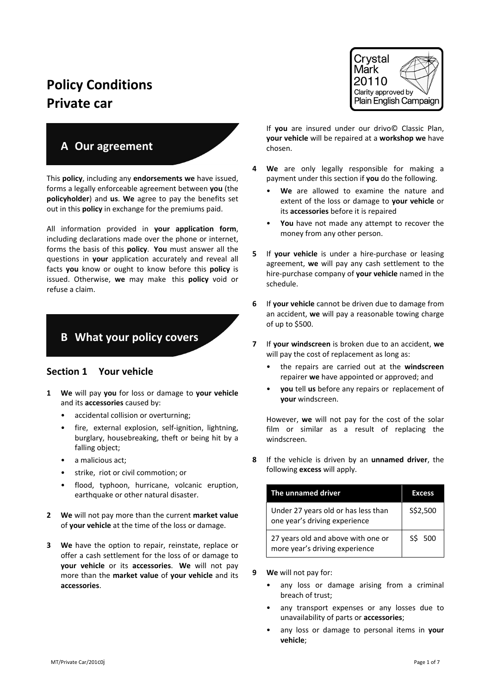# **Policy Conditions Private car**

# **A Our agreement**

This **policy**, including any **endorsements we** have issued, forms a legally enforceable agreement between **you** (the **policyholder**) and **us**. **We** agree to pay the benefits set out in this **policy** in exchange for the premiums paid.

All information provided in **your application form**, including declarations made over the phone or internet, forms the basis of this **policy**. **You** must answer all the questions in **your** application accurately and reveal all facts **you** know or ought to know before this **policy** is issued. Otherwise, **we** may make this **policy** void or refuse a claim.

## **B What your policy covers**

### **Section 1 Your vehicle**

- **1 We** will pay **you** for loss or damage to **your vehicle** and its **accessories** caused by:
	- accidental collision or overturning;
	- fire, external explosion, self-ignition, lightning, burglary, housebreaking, theft or being hit by a falling object;
	- a malicious act;
	- strike, riot or civil commotion; or
	- flood, typhoon, hurricane, volcanic eruption, earthquake or other natural disaster.
- **2 We** will not pay more than the current **market value** of **your vehicle** at the time of the loss or damage.
- **3 We** have the option to repair, reinstate, replace or offer a cash settlement for the loss of or damage to **your vehicle** or its **accessories**. **We** will not pay more than the **market value** of **your vehicle** and its **accessories**.



If **you** are insured under our drivo© Classic Plan, **your vehicle** will be repaired at a **workshop we** have chosen.

- **4 We** are only legally responsible for making a payment under this section if **you** do the following.
	- We are allowed to examine the nature and extent of the loss or damage to **your vehicle** or its **accessories** before it is repaired
	- **You** have not made any attempt to recover the money from any other person.
- **5** If **your vehicle** is under a hire-purchase or leasing agreement, **we** will pay any cash settlement to the hire-purchase company of **your vehicle** named in the schedule.
- **6** If **your vehicle** cannot be driven due to damage from an accident, **we** will pay a reasonable towing charge of up to \$500.
- **7** If **your windscreen** is broken due to an accident, **we** will pay the cost of replacement as long as:
	- the repairs are carried out at the **windscreen** repairer **we** have appointed or approved; and
	- **you** tell **us** before any repairs or replacement of **your** windscreen.

However, **we** will not pay for the cost of the solar film or similar as a result of replacing the windscreen.

**8** If the vehicle is driven by an **unnamed driver**, the following **excess** will apply.

| The unnamed driver                                                   | <b>Excess</b> |  |
|----------------------------------------------------------------------|---------------|--|
| Under 27 years old or has less than<br>one year's driving experience | S\$2,500      |  |
| 27 years old and above with one or<br>more year's driving experience | S\$ 500       |  |

- **9 We** will not pay for:
	- any loss or damage arising from a criminal breach of trust;
	- any transport expenses or any losses due to unavailability of parts or **accessories**;
	- any loss or damage to personal items in **your vehicle**;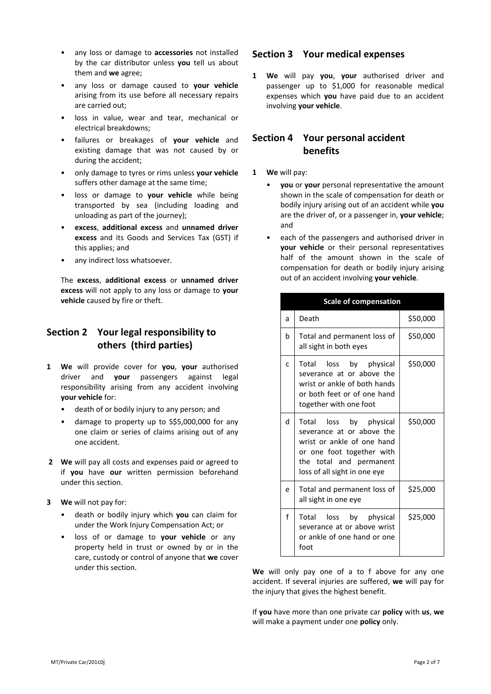- any loss or damage to **accessories** not installed by the car distributor unless **you** tell us about them and **we** agree;
- any loss or damage caused to **your vehicle** arising from its use before all necessary repairs are carried out;
- loss in value, wear and tear, mechanical or electrical breakdowns;
- failures or breakages of **your vehicle** and existing damage that was not caused by or during the accident;
- only damage to tyres or rims unless **your vehicle** suffers other damage at the same time;
- loss or damage to **your vehicle** while being transported by sea (including loading and unloading as part of the journey);
- **excess**, **additional excess** and **unnamed driver excess** and its Goods and Services Tax (GST) if this applies; and
- any indirect loss whatsoever.

The **excess**, **additional excess** or **unnamed driver excess** will not apply to any loss or damage to **your vehicle** caused by fire or theft.

### **Section 2 Your legal responsibility to others (third parties)**

- **1 We** will provide cover for **you**, **your** authorised driver and **your** passengers against legal responsibility arising from any accident involving **your vehicle** for:
	- death of or bodily injury to any person; and
	- damage to property up to S\$5,000,000 for any one claim or series of claims arising out of any one accident.
- **2 We** will pay all costs and expenses paid or agreed to if **you** have **our** written permission beforehand under this section.
- **3 We** will not pay for:
	- death or bodily injury which **you** can claim for under the Work Injury Compensation Act; or
	- loss of or damage to **your vehicle** or any property held in trust or owned by or in the care, custody or control of anyone that **we** cover under this section.

### **Section 3 Your medical expenses**

**1 We** will pay **you**, **your** authorised driver and passenger up to \$1,000 for reasonable medical expenses which **you** have paid due to an accident involving **your vehicle**.

### **Section 4 Your personal accident benefits**

- **1 We** will pay:
	- **you** or **your** personal representative the amount shown in the scale of compensation for death or bodily injury arising out of an accident while **you** are the driver of, or a passenger in, **your vehicle**; and
	- each of the passengers and authorised driver in **your vehicle** or their personal representatives half of the amount shown in the scale of compensation for death or bodily injury arising out of an accident involving **your vehicle**.

|    | <b>Scale of compensation</b>                                                                                                                                              |          |
|----|---------------------------------------------------------------------------------------------------------------------------------------------------------------------------|----------|
| a  | Death                                                                                                                                                                     | \$50,000 |
| b  | Total and permanent loss of<br>all sight in both eyes                                                                                                                     | \$50,000 |
| C  | Total<br>loss by physical<br>severance at or above the<br>wrist or ankle of both hands<br>or both feet or of one hand<br>together with one foot                           | \$50,000 |
| P. | Total loss by physical<br>severance at or above the<br>wrist or ankle of one hand<br>or one foot together with<br>the total and permanent<br>loss of all sight in one eye | \$50,000 |
| e  | Total and permanent loss of<br>all sight in one eye                                                                                                                       | \$25,000 |
| f  | Total<br>loss by physical<br>severance at or above wrist<br>or ankle of one hand or one<br>foot                                                                           | \$25,000 |

**We** will only pay one of a to f above for any one accident. If several injuries are suffered, **we** will pay for the injury that gives the highest benefit.

If **you** have more than one private car **policy** with **us**, **we** will make a payment under one **policy** only.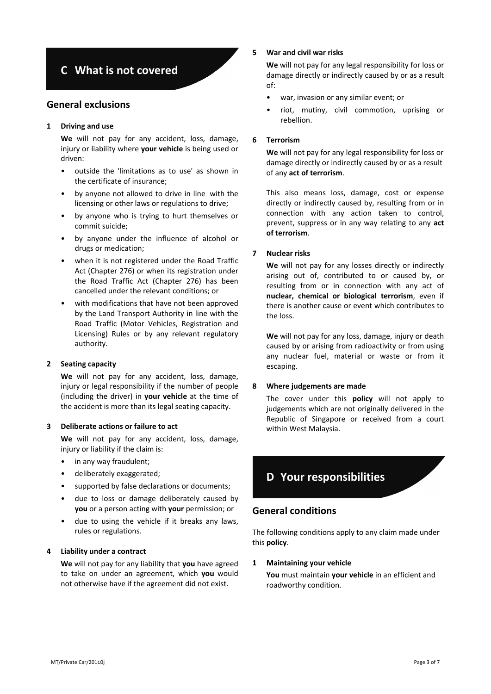# **C What is not covered**

### **General exclusions**

### **1 Driving and use**

**We** will not pay for any accident, loss, damage, injury or liability where **your vehicle** is being used or driven:

- outside the 'limitations as to use' as shown in the certificate of insurance;
- by anyone not allowed to drive in line with the licensing or other laws or regulations to drive;
- by anyone who is trying to hurt themselves or commit suicide;
- by anyone under the influence of alcohol or drugs or medication;
- when it is not registered under the Road Traffic Act (Chapter 276) or when its registration under the Road Traffic Act (Chapter 276) has been cancelled under the relevant conditions; or
- with modifications that have not been approved by the Land Transport Authority in line with the Road Traffic (Motor Vehicles, Registration and Licensing) Rules or by any relevant regulatory authority.

### **2 Seating capacity**

**We** will not pay for any accident, loss, damage, injury or legal responsibility if the number of people (including the driver) in **your vehicle** at the time of the accident is more than its legal seating capacity.

### **3 Deliberate actions or failure to act**

We will not pay for any accident, loss, damage, injury or liability if the claim is:

- in any way fraudulent;
- deliberately exaggerated;
- supported by false declarations or documents;
- due to loss or damage deliberately caused by **you** or a person acting with **your** permission; or
- due to using the vehicle if it breaks any laws, rules or regulations.

### **4 Liability under a contract**

**We** will not pay for any liability that **you** have agreed to take on under an agreement, which **you** would not otherwise have if the agreement did not exist.

### **5 War and civil war risks**

**We** will not pay for any legal responsibility for loss or damage directly or indirectly caused by or as a result of:

- war, invasion or any similar event; or
- riot, mutiny, civil commotion, uprising or rebellion.

### **6 Terrorism**

**We** will not pay for any legal responsibility for loss or damage directly or indirectly caused by or as a result of any **act of terrorism**.

This also means loss, damage, cost or expense directly or indirectly caused by, resulting from or in connection with any action taken to control, prevent, suppress or in any way relating to any **act of terrorism**.

### **7 Nuclear risks**

**We** will not pay for any losses directly or indirectly arising out of, contributed to or caused by, or resulting from or in connection with any act of **nuclear, chemical or biological terrorism**, even if there is another cause or event which contributes to the loss.

**We** will not pay for any loss, damage, injury or death caused by or arising from radioactivity or from using any nuclear fuel, material or waste or from it escaping.

#### **8 Where judgements are made**

The cover under this **policy** will not apply to judgements which are not originally delivered in the Republic of Singapore or received from a court within West Malaysia.

# **D Your responsibilities**

### **General conditions**

The following conditions apply to any claim made under this **policy**.

### **1 Maintaining your vehicle**

**You** must maintain **your vehicle** in an efficient and roadworthy condition.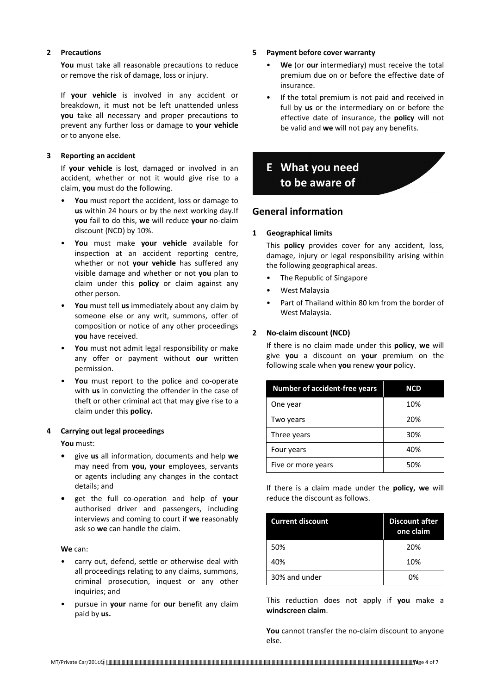### **2 Precautions**

**You** must take all reasonable precautions to reduce or remove the risk of damage, loss or injury.

If **your vehicle** is involved in any accident or breakdown, it must not be left unattended unless **you** take all necessary and proper precautions to prevent any further loss or damage to **your vehicle** or to anyone else.

### **3 Reporting an accident**

If **your vehicle** is lost, damaged or involved in an accident, whether or not it would give rise to a claim, **you** must do the following.

- **You** must report the accident, loss or damage to **us** within 24 hours or by the next working day.If **you** fail to do this, **we** will reduce **your** no-claim discount (NCD) by 10%.
- **You** must make **your vehicle** available for inspection at an accident reporting centre, whether or not **your vehicle** has suffered any visible damage and whether or not **you** plan to claim under this **policy** or claim against any other person.
- **You** must tell **us** immediately about any claim by someone else or any writ, summons, offer of composition or notice of any other proceedings **you** have received.
- **You** must not admit legal responsibility or make any offer or payment without **our** written permission.
- **You** must report to the police and co-operate with **us** in convicting the offender in the case of theft or other criminal act that may give rise to a claim under this **policy.**

### **4 Carrying out legal proceedings**

**You** must:

- **•** give **us** all information, documents and help **we** may need from **you, your** employees, servants or agents including any changes in the contact details; and
- **•** get the full co-operation and help of **your** authorised driver and passengers, including interviews and coming to court if **we** reasonably ask so **we** can handle the claim.

**We** can:

- carry out, defend, settle or otherwise deal with all proceedings relating to any claims, summons, criminal prosecution, inquest or any other inquiries; and
- pursue in **your** name for **our** benefit any claim paid by **us.**
- **5 Payment before cover warranty**
	- **We** (or **our** intermediary) must receive the total premium due on or before the effective date of insurance.
	- If the total premium is not paid and received in full by **us** or the intermediary on or before the effective date of insurance, the **policy** will not be valid and **we** will not pay any benefits.

## **E What you need to be aware of**

### **General information**

### **1 Geographical limits**

This **policy** provides cover for any accident, loss, damage, injury or legal responsibility arising within the following geographical areas.

- The Republic of Singapore
- West Malaysia
- Part of Thailand within 80 km from the border of West Malaysia.

### **2 No-claim discount (NCD)**

If there is no claim made under this **policy**, **we** will give **you** a discount on **your** premium on the following scale when **you** renew **your** policy.

| <b>Number of accident-free years</b> | <b>NCD</b> |
|--------------------------------------|------------|
| One year                             | 10%        |
| Two years                            | 20%        |
| Three years                          | 30%        |
| Four years                           | 40%        |
| Five or more years                   | 50%        |

If there is a claim made under the **policy, we** will reduce the discount as follows.

| <b>Current discount</b> | <b>Discount after</b><br>one claim |
|-------------------------|------------------------------------|
| 50%                     | 20%                                |
| 40%                     | 10%                                |
| 30% and under           | በ%                                 |

This reduction does not apply if **you** make a **windscreen claim**.

**You** cannot transfer the no-claim discount to anyone else.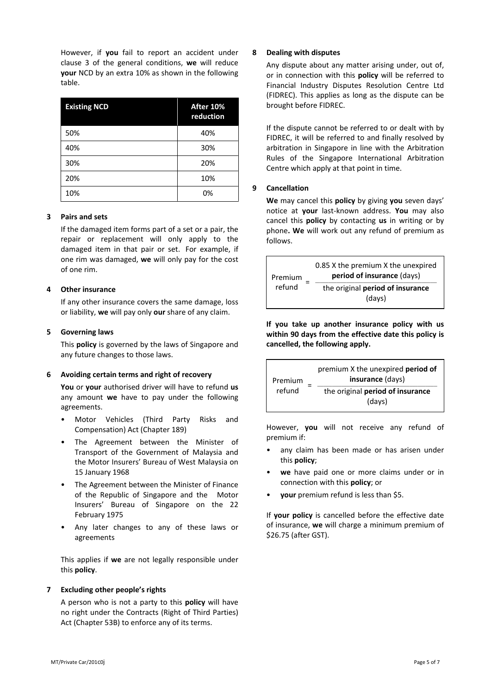However, if **you** fail to report an accident under clause 3 of the general conditions, **we** will reduce **your** NCD by an extra 10% as shown in the following table.

| <b>Existing NCD</b> | After 10%<br>reduction |
|---------------------|------------------------|
| 50%                 | 40%                    |
| 40%                 | 30%                    |
| 30%                 | 20%                    |
| 20%                 | 10%                    |
| 10%                 | 0%                     |

### **3 Pairs and sets**

If the damaged item forms part of a set or a pair, the repair or replacement will only apply to the damaged item in that pair or set. For example, if one rim was damaged, **we** will only pay for the cost of one rim.

### **4 Other insurance**

If any other insurance covers the same damage, loss or liability, **we** will pay only **our** share of any claim.

### **5 Governing laws**

This **policy** is governed by the laws of Singapore and any future changes to those laws.

### **6 Avoiding certain terms and right of recovery**

**You** or **your** authorised driver will have to refund **us** any amount **we** have to pay under the following agreements.

- Motor Vehicles (Third Party Risks and Compensation) Act (Chapter 189)
- The Agreement between the Minister of Transport of the Government of Malaysia and the Motor Insurers' Bureau of West Malaysia on 15 January 1968
- The Agreement between the Minister of Finance of the Republic of Singapore and the Motor Insurers' Bureau of Singapore on the 22 February 1975
- Any later changes to any of these laws or agreements

This applies if **we** are not legally responsible under this **policy**.

### **7 Excluding other people's rights**

A person who is not a party to this **policy** will have no right under the Contracts (Right of Third Parties) Act (Chapter 53B) to enforce any of its terms.

### **8 Dealing with disputes**

Any dispute about any matter arising under, out of, or in connection with this **policy** will be referred to Financial Industry Disputes Resolution Centre Ltd (FIDREC). This applies as long as the dispute can be brought before FIDREC.

If the dispute cannot be referred to or dealt with by FIDREC, it will be referred to and finally resolved by arbitration in Singapore in line with the Arbitration Rules of the Singapore International Arbitration Centre which apply at that point in time.

### **9 Cancellation**

**We** may cancel this **policy** by giving **you** seven days' notice at **your** last-known address. **You** may also cancel this **policy** by contacting **us** in writing or by phone**. We** will work out any refund of premium as follows.

| Premium<br>refund | 0.85 X the premium X the unexpired<br>period of insurance (days) |
|-------------------|------------------------------------------------------------------|
|                   | the original period of insurance<br>(days)                       |

**If you take up another insurance policy with us within 90 days from the effective date this policy is cancelled, the following apply.**

| Premium<br>refund | premium X the unexpired <b>period of</b><br>insurance (days) |  |
|-------------------|--------------------------------------------------------------|--|
|                   | the original period of insurance<br>(days)                   |  |

However, **you** will not receive any refund of premium if:

- any claim has been made or has arisen under this **policy**;
- **we** have paid one or more claims under or in connection with this **policy**; or
- **your** premium refund is less than \$5.

If **your policy** is cancelled before the effective date of insurance, **we** will charge a minimum premium of \$26.75 (after GST).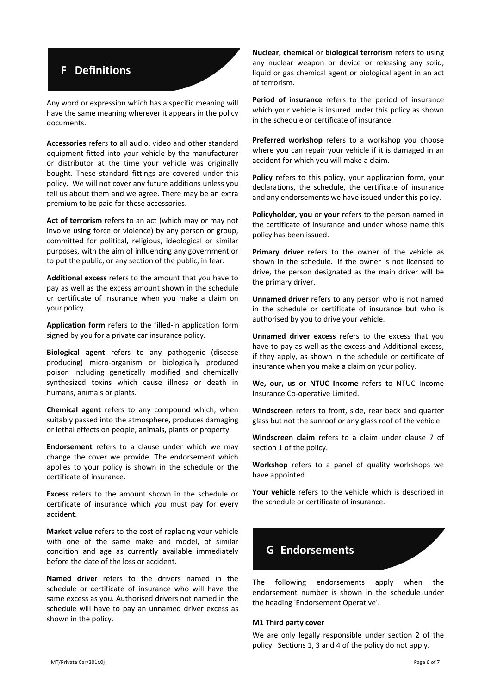# **F Definitions**

Any word or expression which has a specific meaning will have the same meaning wherever it appears in the policy documents.

**Accessories** refers to all audio, video and other standard equipment fitted into your vehicle by the manufacturer or distributor at the time your vehicle was originally bought. These standard fittings are covered under this policy. We will not cover any future additions unless you tell us about them and we agree. There may be an extra premium to be paid for these accessories.

**Act of terrorism** refers to an act (which may or may not involve using force or violence) by any person or group, committed for political, religious, ideological or similar purposes, with the aim of influencing any government or to put the public, or any section of the public, in fear.

**Additional excess** refers to the amount that you have to pay as well as the excess amount shown in the schedule or certificate of insurance when you make a claim on your policy.

**Application form** refers to the filled-in application form signed by you for a private car insurance policy.

**Biological agent** refers to any pathogenic (disease producing) micro-organism or biologically produced poison including genetically modified and chemically synthesized toxins which cause illness or death in humans, animals or plants.

**Chemical agent** refers to any compound which, when suitably passed into the atmosphere, produces damaging or lethal effects on people, animals, plants or property.

**Endorsement** refers to a clause under which we may change the cover we provide. The endorsement which applies to your policy is shown in the schedule or the certificate of insurance.

**Excess** refers to the amount shown in the schedule or certificate of insurance which you must pay for every accident.

**Market value** refers to the cost of replacing your vehicle with one of the same make and model, of similar condition and age as currently available immediately before the date of the loss or accident.

**Named driver** refers to the drivers named in the schedule or certificate of insurance who will have the same excess as you. Authorised drivers not named in the schedule will have to pay an unnamed driver excess as shown in the policy.

**Nuclear, chemical** or **biological terrorism** refers to using any nuclear weapon or device or releasing any solid, liquid or gas chemical agent or biological agent in an act of terrorism.

**Period of insurance** refers to the period of insurance which your vehicle is insured under this policy as shown in the schedule or certificate of insurance.

**Preferred workshop** refers to a workshop you choose where you can repair your vehicle if it is damaged in an accident for which you will make a claim.

**Policy** refers to this policy, your application form, your declarations, the schedule, the certificate of insurance and any endorsements we have issued under this policy.

**Policyholder, you** or **your** refers to the person named in the certificate of insurance and under whose name this policy has been issued.

**Primary driver** refers to the owner of the vehicle as shown in the schedule. If the owner is not licensed to drive, the person designated as the main driver will be the primary driver.

**Unnamed driver** refers to any person who is not named in the schedule or certificate of insurance but who is authorised by you to drive your vehicle.

**Unnamed driver excess** refers to the excess that you have to pay as well as the excess and Additional excess, if they apply, as shown in the schedule or certificate of insurance when you make a claim on your policy.

**We, our, us** or **NTUC Income** refers to NTUC Income Insurance Co-operative Limited.

**Windscreen** refers to front, side, rear back and quarter glass but not the sunroof or any glass roof of the vehicle.

**Windscreen claim** refers to a claim under clause 7 of section 1 of the policy.

**Workshop** refers to a panel of quality workshops we have appointed.

**Your vehicle** refers to the vehicle which is described in the schedule or certificate of insurance.



The following endorsements apply when the endorsement number is shown in the schedule under the heading 'Endorsement Operative'.

#### **M1 Third party cover**

We are only legally responsible under section 2 of the policy. Sections 1, 3 and 4 of the policy do not apply.